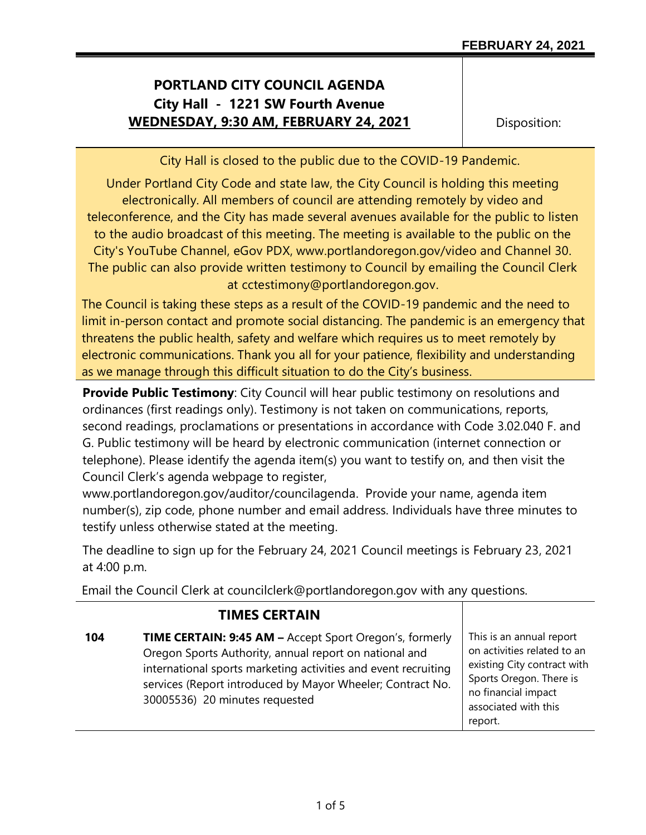## **PORTLAND CITY COUNCIL AGENDA City Hall - 1221 SW Fourth Avenue WEDNESDAY, 9:30 AM, FEBRUARY 24, 2021**

Disposition:

City Hall is closed to the public due to the COVID-19 Pandemic.

Under Portland City Code and state law, the City Council is holding this meeting electronically. All members of council are attending remotely by video and teleconference, and the City has made several avenues available for the public to listen to the audio broadcast of this meeting. The meeting is available to the public on the City's YouTube Channel, eGov PDX, www.portlandoregon.gov/video and Channel 30. The public can also provide written testimony to Council by emailing the Council Clerk at cctestimony@portlandoregon.gov.

The Council is taking these steps as a result of the COVID-19 pandemic and the need to limit in-person contact and promote social distancing. The pandemic is an emergency that threatens the public health, safety and welfare which requires us to meet remotely by electronic communications. Thank you all for your patience, flexibility and understanding as we manage through this difficult situation to do the City's business.

**Provide Public Testimony**: City Council will hear public testimony on resolutions and ordinances (first readings only). Testimony is not taken on communications, reports, second readings, proclamations or presentations in accordance with Code 3.02.040 F. and G. Public testimony will be heard by electronic communication (internet connection or telephone). Please identify the agenda item(s) you want to testify on, and then visit the Council Clerk's agenda webpage to register,

www.portlandoregon.gov/auditor/councilagenda. Provide your name, agenda item number(s), zip code, phone number and email address. Individuals have three minutes to testify unless otherwise stated at the meeting.

The deadline to sign up for the February 24, 2021 Council meetings is February 23, 2021 at 4:00 p.m.

Email the Council Clerk at councilclerk@portlandoregon.gov with any questions.

|     | <b>TIMES CERTAIN</b>                                                                                                                                                                                                                                                                       |                                                                                                                                                                             |
|-----|--------------------------------------------------------------------------------------------------------------------------------------------------------------------------------------------------------------------------------------------------------------------------------------------|-----------------------------------------------------------------------------------------------------------------------------------------------------------------------------|
| 104 | <b>TIME CERTAIN: 9:45 AM - Accept Sport Oregon's, formerly</b><br>Oregon Sports Authority, annual report on national and<br>international sports marketing activities and event recruiting<br>services (Report introduced by Mayor Wheeler; Contract No.<br>30005536) 20 minutes requested | This is an annual report<br>on activities related to an<br>existing City contract with<br>Sports Oregon. There is<br>no financial impact<br>associated with this<br>report. |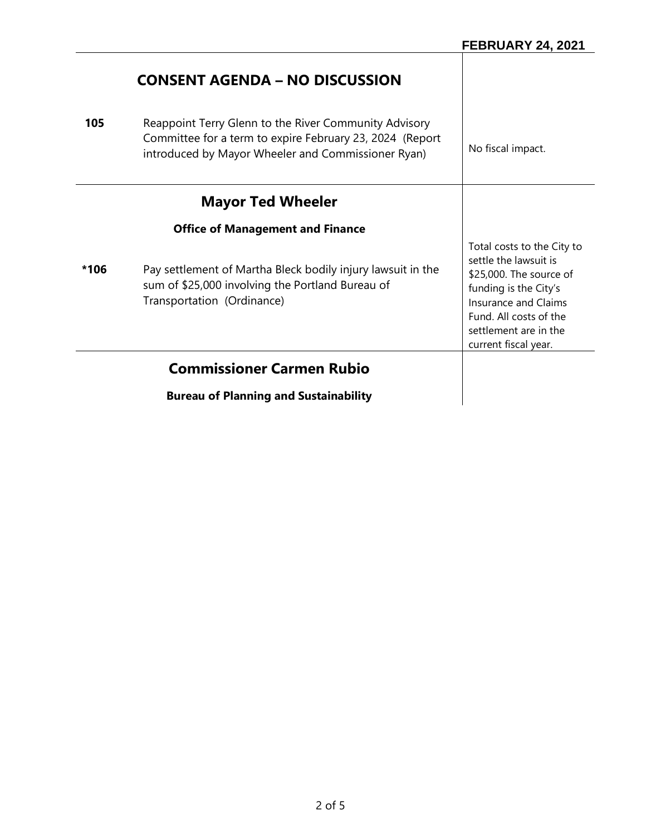|      | <b>CONSENT AGENDA – NO DISCUSSION</b>                                                                                                                                   |                                                                                                                                                                                                                   |
|------|-------------------------------------------------------------------------------------------------------------------------------------------------------------------------|-------------------------------------------------------------------------------------------------------------------------------------------------------------------------------------------------------------------|
| 105  | Reappoint Terry Glenn to the River Community Advisory<br>Committee for a term to expire February 23, 2024 (Report<br>introduced by Mayor Wheeler and Commissioner Ryan) | No fiscal impact.                                                                                                                                                                                                 |
|      | <b>Mayor Ted Wheeler</b>                                                                                                                                                |                                                                                                                                                                                                                   |
|      | <b>Office of Management and Finance</b>                                                                                                                                 |                                                                                                                                                                                                                   |
| *106 | Pay settlement of Martha Bleck bodily injury lawsuit in the<br>sum of \$25,000 involving the Portland Bureau of<br>Transportation (Ordinance)                           | Total costs to the City to<br>settle the lawsuit is<br>\$25,000. The source of<br>funding is the City's<br><b>Insurance and Claims</b><br>Fund. All costs of the<br>settlement are in the<br>current fiscal year. |
|      | <b>Commissioner Carmen Rubio</b>                                                                                                                                        |                                                                                                                                                                                                                   |
|      | <b>Bureau of Planning and Sustainability</b>                                                                                                                            |                                                                                                                                                                                                                   |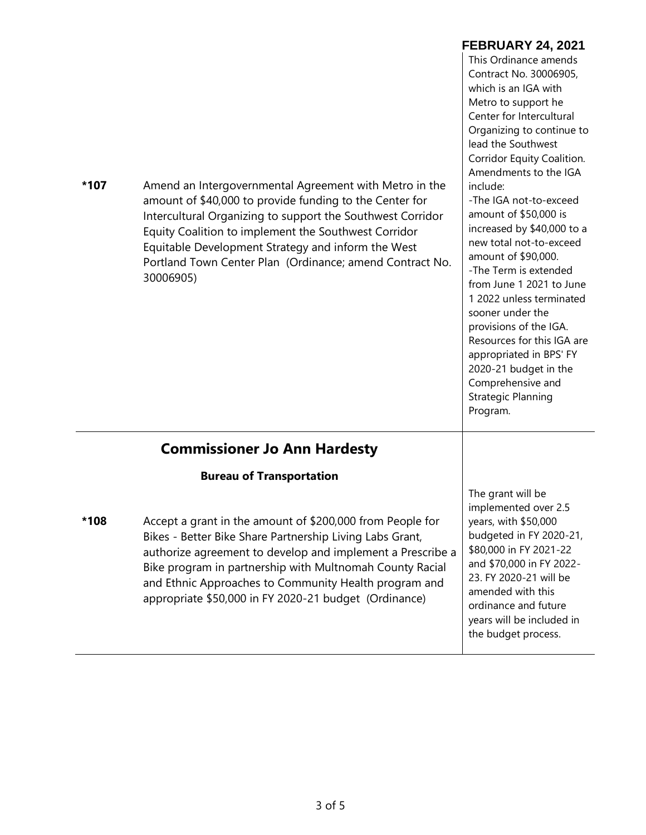| *107 | Amend an Intergovernmental Agreement with Metro in the<br>amount of \$40,000 to provide funding to the Center for<br>Intercultural Organizing to support the Southwest Corridor<br>Equity Coalition to implement the Southwest Corridor<br>Equitable Development Strategy and inform the West<br>Portland Town Center Plan (Ordinance; amend Contract No.<br>30006905) | <b>FEBRUARY 24, 2021</b><br>This Ordinance amends<br>Contract No. 30006905,<br>which is an IGA with<br>Metro to support he<br>Center for Intercultural<br>Organizing to continue to<br>lead the Southwest<br>Corridor Equity Coalition.<br>Amendments to the IGA<br>include:<br>-The IGA not-to-exceed<br>amount of \$50,000 is<br>increased by \$40,000 to a<br>new total not-to-exceed<br>amount of \$90,000.<br>-The Term is extended<br>from June 1 2021 to June<br>1 2022 unless terminated<br>sooner under the<br>provisions of the IGA.<br>Resources for this IGA are<br>appropriated in BPS' FY<br>2020-21 budget in the<br>Comprehensive and<br><b>Strategic Planning</b><br>Program. |
|------|------------------------------------------------------------------------------------------------------------------------------------------------------------------------------------------------------------------------------------------------------------------------------------------------------------------------------------------------------------------------|------------------------------------------------------------------------------------------------------------------------------------------------------------------------------------------------------------------------------------------------------------------------------------------------------------------------------------------------------------------------------------------------------------------------------------------------------------------------------------------------------------------------------------------------------------------------------------------------------------------------------------------------------------------------------------------------|
|      | <b>Commissioner Jo Ann Hardesty</b>                                                                                                                                                                                                                                                                                                                                    |                                                                                                                                                                                                                                                                                                                                                                                                                                                                                                                                                                                                                                                                                                |
|      | <b>Bureau of Transportation</b>                                                                                                                                                                                                                                                                                                                                        | The grant will be                                                                                                                                                                                                                                                                                                                                                                                                                                                                                                                                                                                                                                                                              |
| *108 | Accept a grant in the amount of \$200,000 from People for<br>Bikes - Better Bike Share Partnership Living Labs Grant,<br>authorize agreement to develop and implement a Prescribe a<br>Bike program in partnership with Multnomah County Racial<br>and Ethnic Approaches to Community Health program and<br>appropriate \$50,000 in FY 2020-21 budget (Ordinance)      | implemented over 2.5<br>years, with \$50,000<br>budgeted in FY 2020-21,<br>\$80,000 in FY 2021-22<br>and \$70,000 in FY 2022-<br>23. FY 2020-21 will be<br>amended with this<br>ordinance and future<br>years will be included in<br>the budget process.                                                                                                                                                                                                                                                                                                                                                                                                                                       |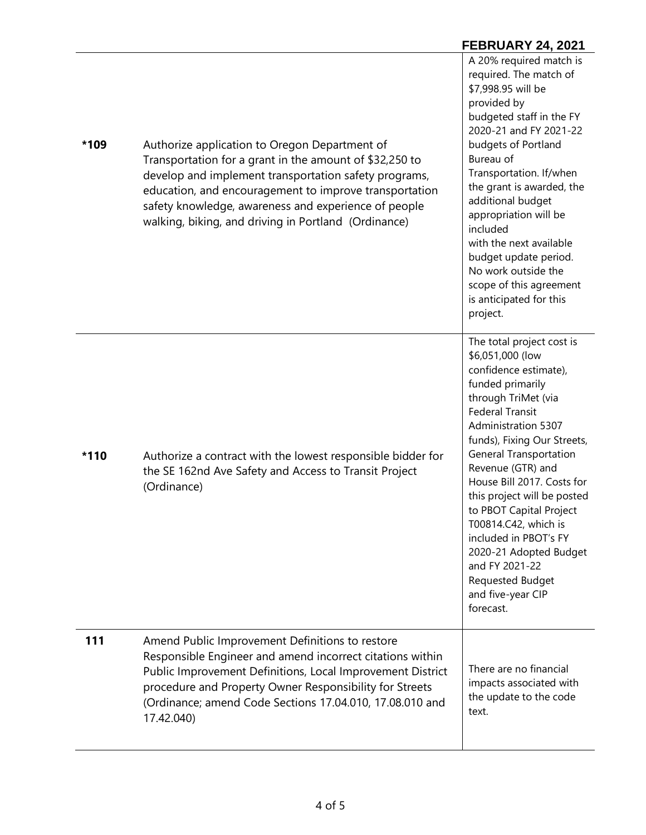## **\*109** Authorize application to Oregon Department of Transportation for a grant in the amount of \$32,250 to develop and implement transportation safety programs, education, and encouragement to improve transportation safety knowledge, awareness and experience of people walking, biking, and driving in Portland (Ordinance) A 20% required match is required. The match of \$7,998.95 will be provided by budgeted staff in the FY 2020-21 and FY 2021-22 budgets of Portland Bureau of Transportation. If/when the grant is awarded, the additional budget appropriation will be included with the next available budget update period. No work outside the scope of this agreement is anticipated for this project. **\*110** Authorize a contract with the lowest responsible bidder for the SE 162nd Ave Safety and Access to Transit Project (Ordinance) The total project cost is \$6,051,000 (low confidence estimate), funded primarily through TriMet (via Federal Transit Administration 5307 funds), Fixing Our Streets, General Transportation Revenue (GTR) and House Bill 2017. Costs for this project will be posted to PBOT Capital Project T00814.C42, which is included in PBOT's FY 2020-21 Adopted Budget and FY 2021-22 Requested Budget and five-year CIP forecast. **111** Amend Public Improvement Definitions to restore Responsible Engineer and amend incorrect citations within Public Improvement Definitions, Local Improvement District procedure and Property Owner Responsibility for Streets (Ordinance; amend Code Sections 17.04.010, 17.08.010 and 17.42.040) There are no financial impacts associated with the update to the code text.

**FEBRUARY 24, 2021**